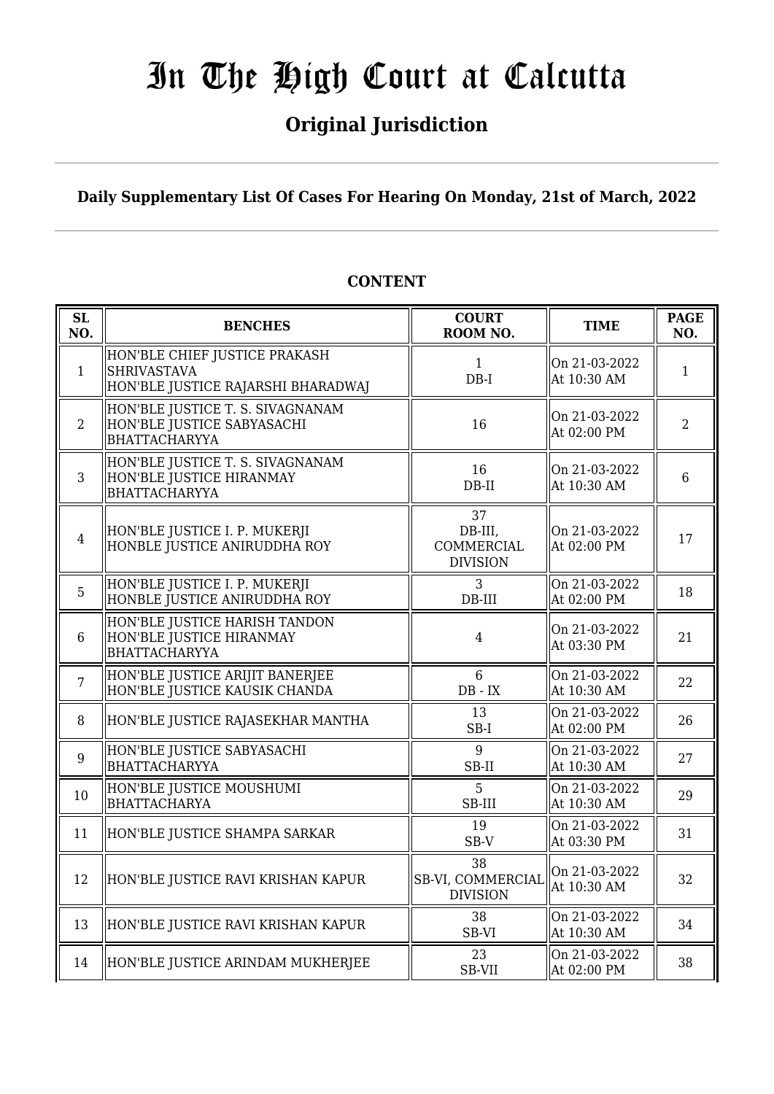### **Original Jurisdiction**

**Daily Supplementary List Of Cases For Hearing On Monday, 21st of March, 2022**

#### **SL SL BENCHES COURT**<br> **ROOM NO. ROOM NO. TIME PAGE NO.** 1 HON'BLE CHIEF JUSTICE PRAKASH SHRIVASTAVA HON'BLE JUSTICE RAJARSHI BHARADWAJ 1 DB-I On 21-03-2022 OII 21-05-2022  $\parallel$  1 2 HON'BLE JUSTICE T. S. SIVAGNANAM HON'BLE JUSTICE SABYASACHI BHATTACHARYYA  $\begin{array}{ccc} 16 & \text{on } 21-03-2022 \\ \text{on } 29, 29, 29, 21 \end{array}$  $\begin{array}{|c|c|c|c|c|c|} \hline \text{Out 21-03-2022} & & 2 \\ \hline \text{At 02:00 PM} & & \end{array}$ 3 HON'BLE JUSTICE T. S. SIVAGNANAM HON'BLE JUSTICE HIRANMAY BHATTACHARYYA 16 DB-II On 21-03-2022 At 10:30 AM <sup>6</sup> 4 HON'BLE JUSTICE I. P. MUKERJI HONBLE JUSTICE ANIRUDDHA ROY 37 DB-III, COMMERCIAL DIVISION On 21-03-2022  $\begin{array}{|c|c|c|c|c|c|} \hline \text{Out 21-03-2022} & & 17 \\ \hline \text{At 02:00 PM} & & 17 \hline \end{array}$ 5 HON'BLE JUSTICE I. P. MUKERJI HONBLE JUSTICE ANIRUDDHA ROY 3 DB-III On 21-03-2022  $\begin{array}{|c|c|c|c|c|c|} \hline \text{Out 21-03-2022} & & 18 \\ \hline \text{At 02:00 PM} & & 18 \\\hline \end{array}$ 6 HON'BLE JUSTICE HARISH TANDON HON'BLE JUSTICE HIRANMAY BHATTACHARYYA 4 On 21-03-2022  $\begin{array}{|c|c|c|c|c|} \hline \text{Out 21-03-2022} & 21 \\ \text{At 03:30 PM} & 21 \end{array}$ 7 HON'BLE JUSTICE ARIJIT BANERJEE HON'BLE JUSTICE KAUSIK CHANDA 6 DB - IX On 21-03-2022  $\begin{array}{|c|c|c|c|c|c|} \hline \text{Un 21-03-2022} & & 22 \\ \hline \text{At 10:30 AM} & & \end{array}$ 8 HON'BLE JUSTICE RAJASEKHAR MANTHA  $\parallel$  13 SB-I On 21-03-2022  $\text{At } 02:00 \text{ PM}$  26 9 HON'BLE JUSTICE SABYASACHI **BHATTACHARYYA**  $\overline{Q}$ SB-II On 21-03-2022  $\begin{array}{|c|c|c|c|c|c|}\n\hline\n\text{At 10:30 AM} & & 27\n\end{array}$ 10 HON'BLE JUSTICE MOUSHUMI BHATTACHARYA 5 SB-III On 21-03-2022  $\begin{array}{c|c}\n\text{Out 21-03-2022} \\
\text{At 10:30 AM}\n\end{array}$  29 11 HON'BLE JUSTICE SHAMPA SARKAR  $\begin{array}{ccc} 19 & 19 \\ \end{array}$ SB-V On 21-03-2022  $\begin{array}{|c|c|c|c|c|} \hline \text{Out 21-03-2022} & & 31 \\ \hline \text{At 03:30 PM} & & 31 \\\hline \end{array}$ 12 HON'BLE JUSTICE RAVI KRISHAN KAPUR 38 SB-VI, COMMERCIAI DIVISION On 21-03-2022  $\begin{array}{|c|c|c|c|c|c|}\n\hline\n\text{At 10:30 AM} & & 32\n\end{array}$ 13 HON'BLE JUSTICE RAVI KRISHAN KAPUR 38 SB-VI On 21-03-2022 OII 21-03-2022  $\parallel$  34<br>At 10:30 AM 14 HON'BLE JUSTICE ARINDAM MUKHERJEE  $\parallel$  23 SB-VII On 21-03-2022  $\begin{array}{|c|c|c|c|c|c|}\n\hline\n\text{At 02:00 PM} & & 38\n\end{array}$

### **CONTENT**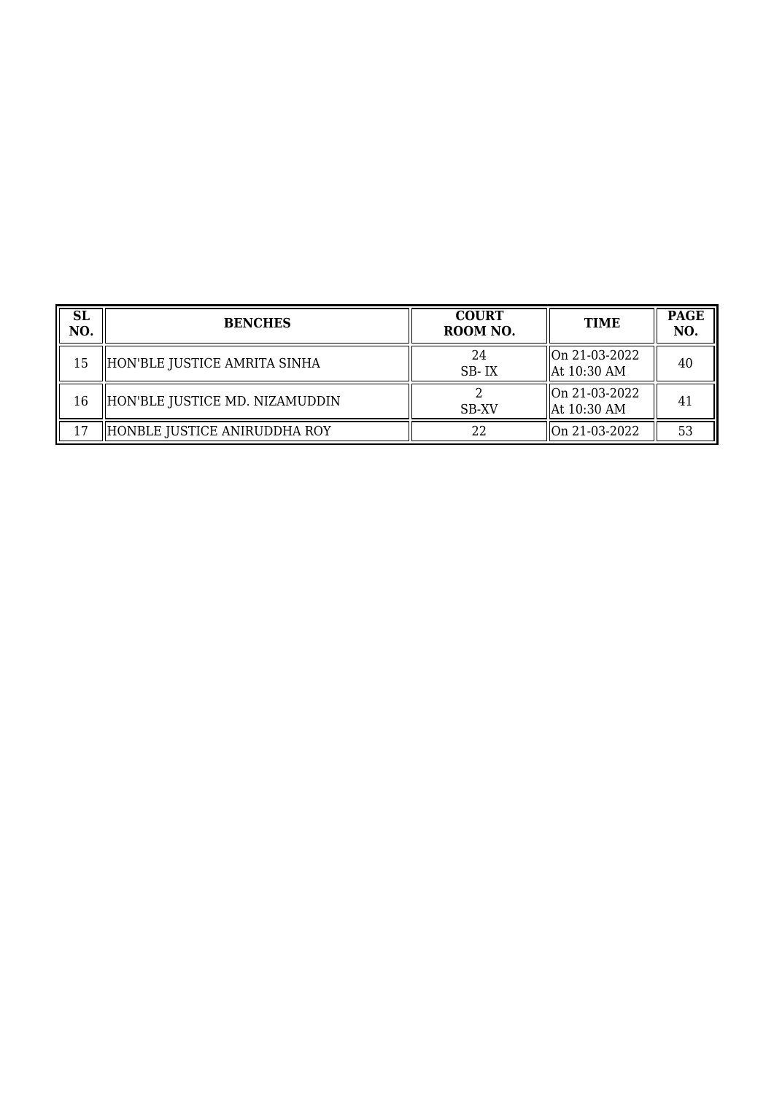| <b>SL</b><br>NO. | <b>BENCHES</b>                 | <b>COURT</b><br>ROOM NO. | <b>TIME</b>                    | <b>PAGE</b><br>NO. |
|------------------|--------------------------------|--------------------------|--------------------------------|--------------------|
| 15               | HON'BLE JUSTICE AMRITA SINHA   | 24<br>SB-IX              | On 21-03-2022<br>  At 10:30 AM | 40                 |
| 16               | HON'BLE JUSTICE MD. NIZAMUDDIN | <b>SB-XV</b>             | On 21-03-2022<br>  At 10:30 AM | 41                 |
| 17               | HONBLE JUSTICE ANIRUDDHA ROY   | 22                       | On 21-03-2022                  | 53                 |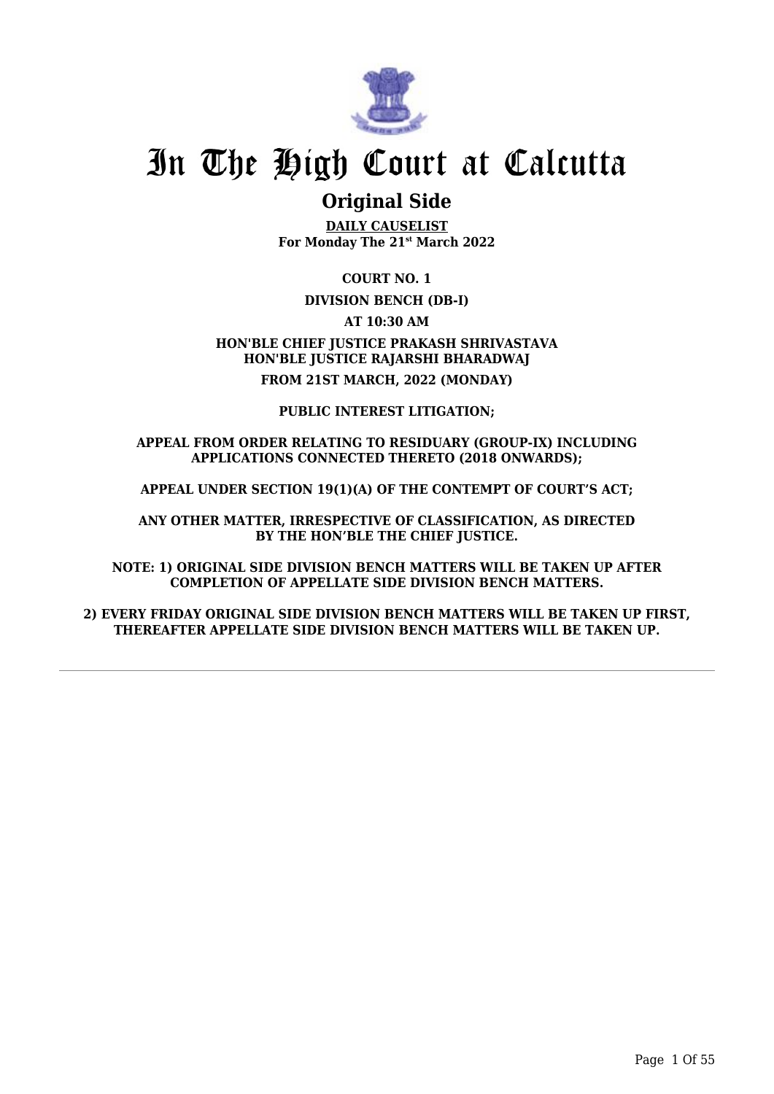

### **Original Side**

**DAILY CAUSELIST For Monday The 21st March 2022**

**COURT NO. 1**

### **DIVISION BENCH (DB-I)**

**AT 10:30 AM**

**HON'BLE CHIEF JUSTICE PRAKASH SHRIVASTAVA HON'BLE JUSTICE RAJARSHI BHARADWAJ FROM 21ST MARCH, 2022 (MONDAY)**

**PUBLIC INTEREST LITIGATION;**

#### **APPEAL FROM ORDER RELATING TO RESIDUARY (GROUP-IX) INCLUDING APPLICATIONS CONNECTED THERETO (2018 ONWARDS);**

**APPEAL UNDER SECTION 19(1)(A) OF THE CONTEMPT OF COURT'S ACT;**

**ANY OTHER MATTER, IRRESPECTIVE OF CLASSIFICATION, AS DIRECTED BY THE HON'BLE THE CHIEF JUSTICE.**

**NOTE: 1) ORIGINAL SIDE DIVISION BENCH MATTERS WILL BE TAKEN UP AFTER COMPLETION OF APPELLATE SIDE DIVISION BENCH MATTERS.**

**2) EVERY FRIDAY ORIGINAL SIDE DIVISION BENCH MATTERS WILL BE TAKEN UP FIRST, THEREAFTER APPELLATE SIDE DIVISION BENCH MATTERS WILL BE TAKEN UP.**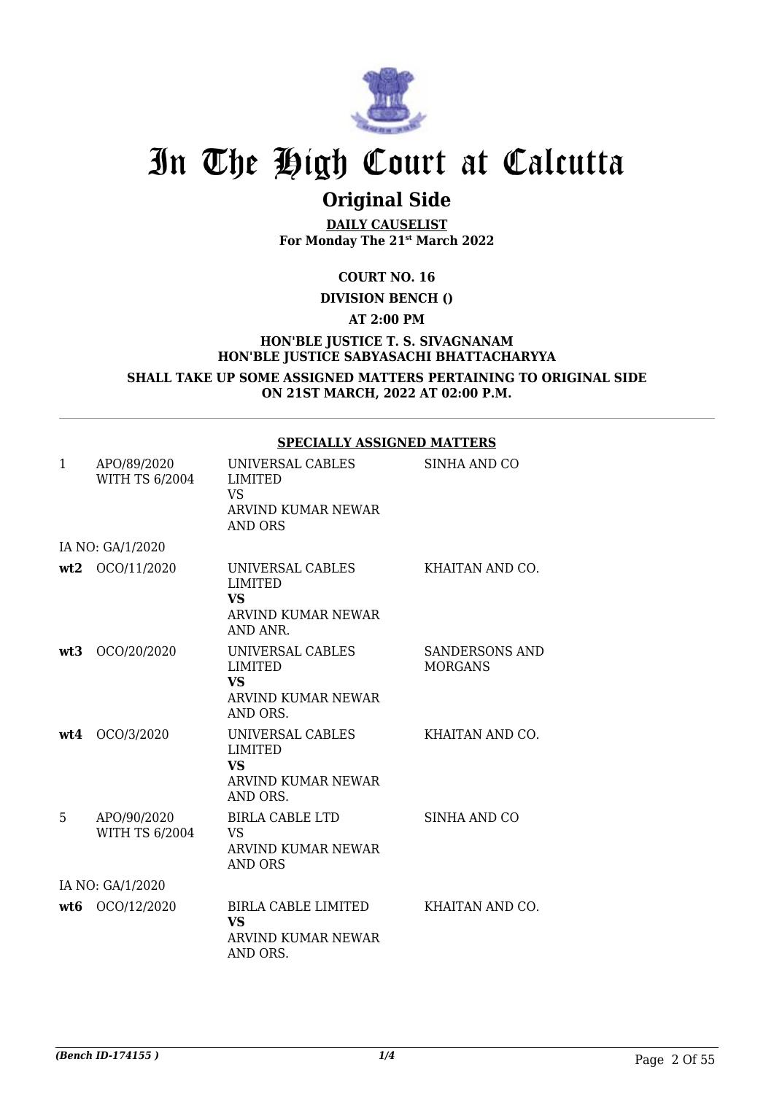

## **Original Side**

**DAILY CAUSELIST For Monday The 21st March 2022**

**COURT NO. 16**

**DIVISION BENCH ()**

**AT 2:00 PM**

**HON'BLE JUSTICE T. S. SIVAGNANAM HON'BLE JUSTICE SABYASACHI BHATTACHARYYA SHALL TAKE UP SOME ASSIGNED MATTERS PERTAINING TO ORIGINAL SIDE**

**ON 21ST MARCH, 2022 AT 02:00 P.M.**

|     |                                      | SPECIALLI ASSIGNED MAI I EKS                                                      |                                         |
|-----|--------------------------------------|-----------------------------------------------------------------------------------|-----------------------------------------|
| 1   | APO/89/2020<br><b>WITH TS 6/2004</b> | UNIVERSAL CABLES<br><b>LIMITED</b><br><b>VS</b><br>ARVIND KUMAR NEWAR<br>AND ORS  | SINHA AND CO                            |
|     | IA NO: GA/1/2020                     |                                                                                   |                                         |
| wt2 | OCO/11/2020                          | UNIVERSAL CABLES<br><b>LIMITED</b><br><b>VS</b><br>ARVIND KUMAR NEWAR<br>AND ANR. | KHAITAN AND CO.                         |
| wt3 | OCO/20/2020                          | UNIVERSAL CABLES<br><b>LIMITED</b><br><b>VS</b><br>ARVIND KUMAR NEWAR<br>AND ORS. | <b>SANDERSONS AND</b><br><b>MORGANS</b> |
| wt4 | OCO/3/2020                           | UNIVERSAL CABLES<br><b>LIMITED</b><br><b>VS</b><br>ARVIND KUMAR NEWAR<br>AND ORS. | KHAITAN AND CO.                         |
| 5   | APO/90/2020<br><b>WITH TS 6/2004</b> | <b>BIRLA CABLE LTD</b><br><b>VS</b><br>ARVIND KUMAR NEWAR<br><b>AND ORS</b>       | SINHA AND CO                            |
|     | IA NO: GA/1/2020                     |                                                                                   |                                         |
| wt6 | OCO/12/2020                          | BIRLA CABLE LIMITED<br>VS<br>ARVIND KUMAR NEWAR<br>AND ORS.                       | KHAITAN AND CO.                         |

### **SPECIALLY ASSIGNED MATTERS**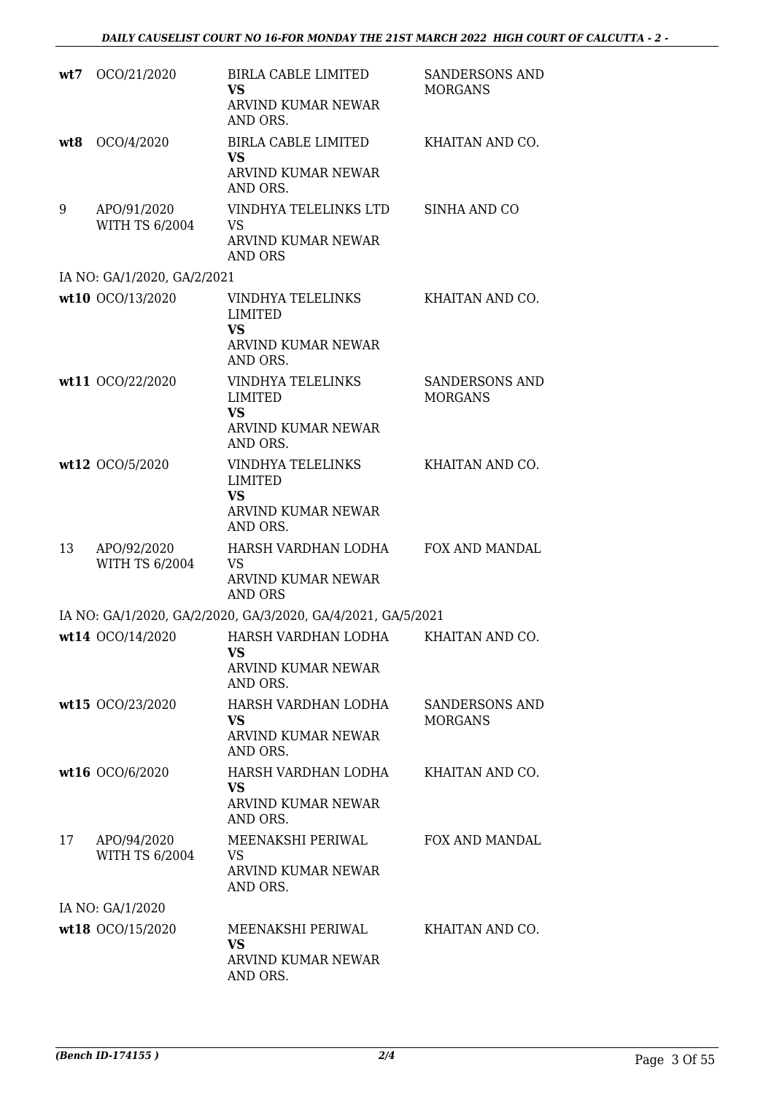| wt7 | OCO/21/2020                          | BIRLA CABLE LIMITED<br><b>VS</b><br>ARVIND KUMAR NEWAR<br>AND ORS.                        | <b>SANDERSONS AND</b><br><b>MORGANS</b> |
|-----|--------------------------------------|-------------------------------------------------------------------------------------------|-----------------------------------------|
| wt8 | OCO/4/2020                           | <b>BIRLA CABLE LIMITED</b><br><b>VS</b><br>ARVIND KUMAR NEWAR<br>AND ORS.                 | KHAITAN AND CO.                         |
| 9   | APO/91/2020<br><b>WITH TS 6/2004</b> | VINDHYA TELELINKS LTD<br><b>VS</b><br>ARVIND KUMAR NEWAR<br><b>AND ORS</b>                | SINHA AND CO                            |
|     | IA NO: GA/1/2020, GA/2/2021          |                                                                                           |                                         |
|     | wt10 OCO/13/2020                     | VINDHYA TELELINKS<br><b>LIMITED</b><br><b>VS</b><br><b>ARVIND KUMAR NEWAR</b><br>AND ORS. | KHAITAN AND CO.                         |
|     | wt11 OCO/22/2020                     | <b>VINDHYA TELELINKS</b><br>LIMITED<br><b>VS</b><br>ARVIND KUMAR NEWAR<br>AND ORS.        | SANDERSONS AND<br><b>MORGANS</b>        |
|     | wt12 OCO/5/2020                      | VINDHYA TELELINKS<br><b>LIMITED</b><br><b>VS</b><br>ARVIND KUMAR NEWAR<br>AND ORS.        | KHAITAN AND CO.                         |
| 13  | APO/92/2020<br><b>WITH TS 6/2004</b> | HARSH VARDHAN LODHA<br><b>VS</b><br>ARVIND KUMAR NEWAR<br><b>AND ORS</b>                  | FOX AND MANDAL                          |
|     |                                      | IA NO: GA/1/2020, GA/2/2020, GA/3/2020, GA/4/2021, GA/5/2021                              |                                         |
|     | wt14 OCO/14/2020                     | HARSH VARDHAN LODHA<br>VS<br>ARVIND KUMAR NEWAR<br>AND ORS.                               | KHAITAN AND CO.                         |
|     | wt15 OCO/23/2020                     | HARSH VARDHAN LODHA<br><b>VS</b><br>ARVIND KUMAR NEWAR<br>AND ORS.                        | SANDERSONS AND<br><b>MORGANS</b>        |
|     | wt16 OCO/6/2020                      | HARSH VARDHAN LODHA<br><b>VS</b><br><b>ARVIND KUMAR NEWAR</b><br>AND ORS.                 | KHAITAN AND CO.                         |
| 17  | APO/94/2020<br><b>WITH TS 6/2004</b> | MEENAKSHI PERIWAL<br>VS.<br>ARVIND KUMAR NEWAR<br>AND ORS.                                | <b>FOX AND MANDAL</b>                   |
|     | IA NO: GA/1/2020                     |                                                                                           |                                         |
|     | wt18 OCO/15/2020                     | MEENAKSHI PERIWAL<br>VS<br>ARVIND KUMAR NEWAR<br>AND ORS.                                 | KHAITAN AND CO.                         |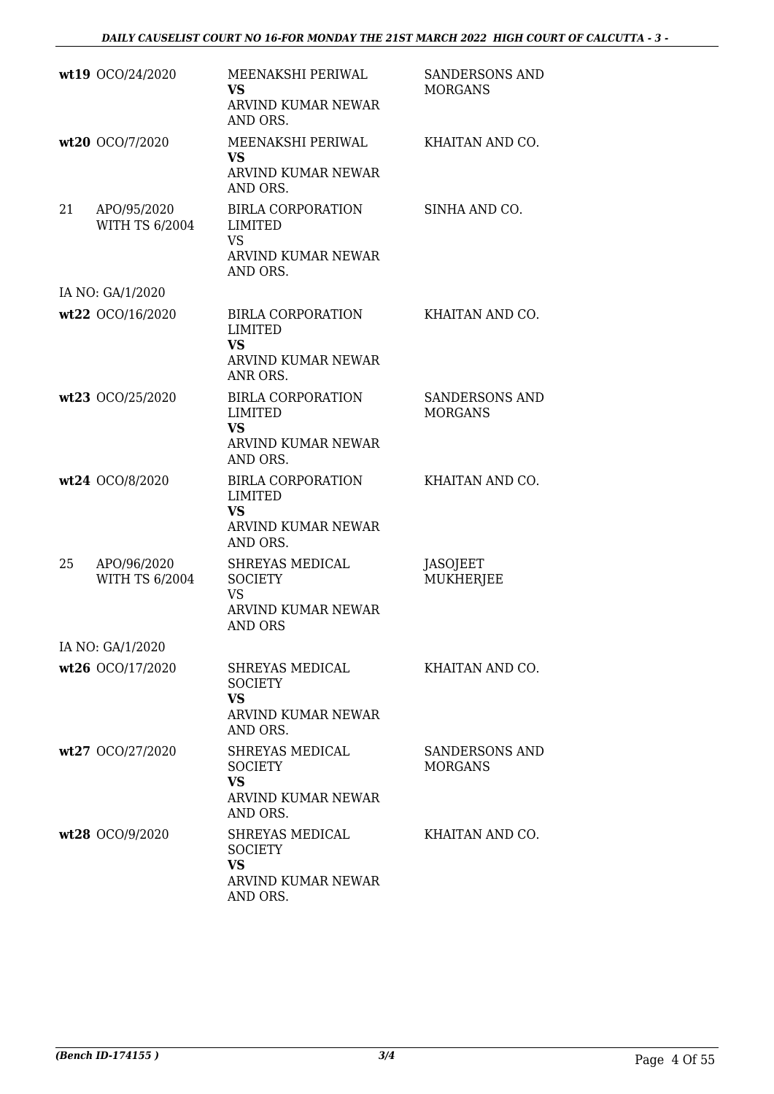|    | wt19 OCO/24/2020                     | MEENAKSHI PERIWAL<br><b>VS</b><br>ARVIND KUMAR NEWAR<br>AND ORS.                          | <b>SANDERSONS AND</b><br><b>MORGANS</b> |
|----|--------------------------------------|-------------------------------------------------------------------------------------------|-----------------------------------------|
|    | wt20 OCO/7/2020                      | MEENAKSHI PERIWAL<br><b>VS</b><br>ARVIND KUMAR NEWAR<br>AND ORS.                          | KHAITAN AND CO.                         |
| 21 | APO/95/2020<br><b>WITH TS 6/2004</b> | <b>BIRLA CORPORATION</b><br>LIMITED<br><b>VS</b><br>ARVIND KUMAR NEWAR<br>AND ORS.        | SINHA AND CO.                           |
|    | IA NO: GA/1/2020                     |                                                                                           |                                         |
|    | wt22 OCO/16/2020                     | <b>BIRLA CORPORATION</b><br><b>LIMITED</b><br><b>VS</b><br>ARVIND KUMAR NEWAR<br>ANR ORS. | KHAITAN AND CO.                         |
|    | wt23 OCO/25/2020                     | <b>BIRLA CORPORATION</b><br><b>LIMITED</b><br><b>VS</b><br>ARVIND KUMAR NEWAR<br>AND ORS. | <b>SANDERSONS AND</b><br><b>MORGANS</b> |
|    | wt24 OCO/8/2020                      | <b>BIRLA CORPORATION</b><br><b>LIMITED</b><br><b>VS</b><br>ARVIND KUMAR NEWAR<br>AND ORS. | KHAITAN AND CO.                         |
| 25 | APO/96/2020<br><b>WITH TS 6/2004</b> | SHREYAS MEDICAL<br><b>SOCIETY</b><br><b>VS</b><br>ARVIND KUMAR NEWAR<br><b>AND ORS</b>    | JASOJEET<br>MUKHERJEE                   |
|    | IA NO: GA/1/2020                     |                                                                                           |                                         |
|    | wt26 OCO/17/2020                     | SHREYAS MEDICAL<br><b>SOCIETY</b><br>VS<br>ARVIND KUMAR NEWAR<br>AND ORS.                 | KHAITAN AND CO.                         |
|    | wt27 OCO/27/2020                     | SHREYAS MEDICAL<br><b>SOCIETY</b><br><b>VS</b><br>ARVIND KUMAR NEWAR<br>AND ORS.          | SANDERSONS AND<br><b>MORGANS</b>        |
|    | wt28 OCO/9/2020                      | SHREYAS MEDICAL<br><b>SOCIETY</b><br><b>VS</b><br>ARVIND KUMAR NEWAR<br>AND ORS.          | KHAITAN AND CO.                         |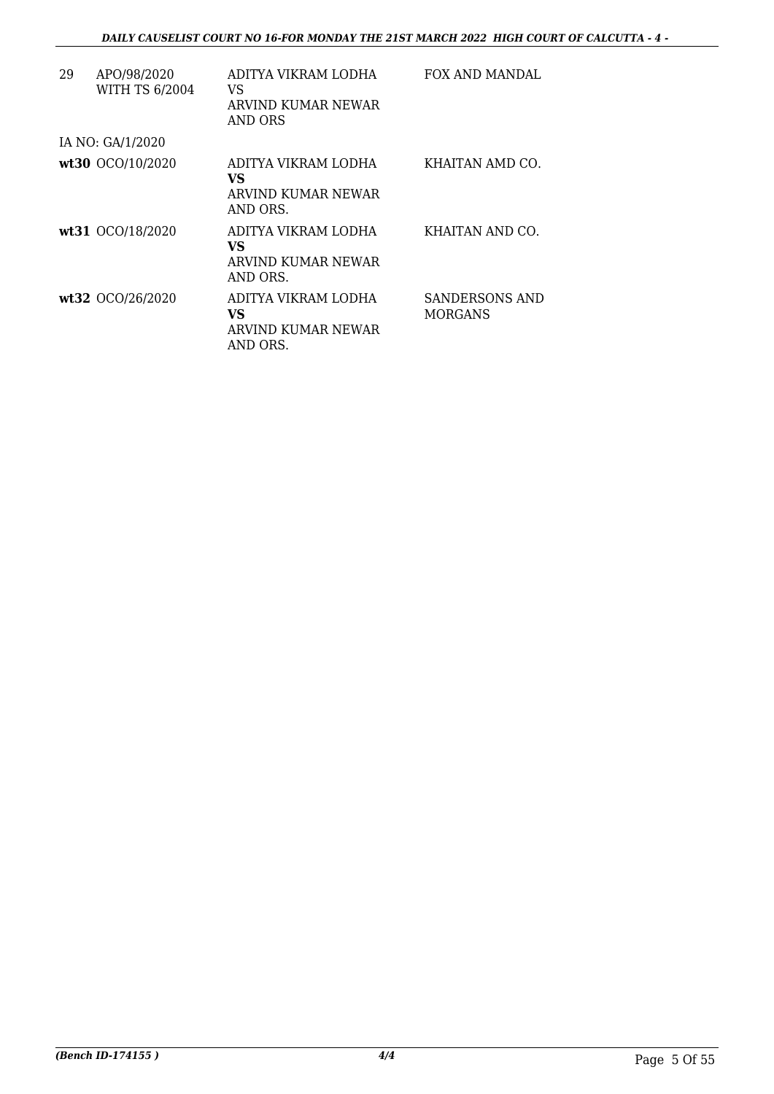| 29 | APO/98/2020<br><b>WITH TS 6/2004</b> | ADITYA VIKRAM LODHA<br>VS<br>ARVIND KUMAR NEWAR<br>AND ORS         | FOX AND MANDAL                   |
|----|--------------------------------------|--------------------------------------------------------------------|----------------------------------|
|    | IA NO: GA/1/2020                     |                                                                    |                                  |
|    | wt30 OCO/10/2020                     | ADITYA VIKRAM LODHA<br>VS.<br>ARVIND KUMAR NEWAR<br>AND ORS.       | KHAITAN AMD CO.                  |
|    | wt31 0CO/18/2020                     | ADITYA VIKRAM LODHA<br>VS.<br>ARVIND KUMAR NEWAR<br>AND ORS.       | KHAITAN AND CO.                  |
|    | wt32 OCO/26/2020                     | ADITYA VIKRAM LODHA<br><b>VS</b><br>ARVIND KUMAR NEWAR<br>AND ORS. | SANDERSONS AND<br><b>MORGANS</b> |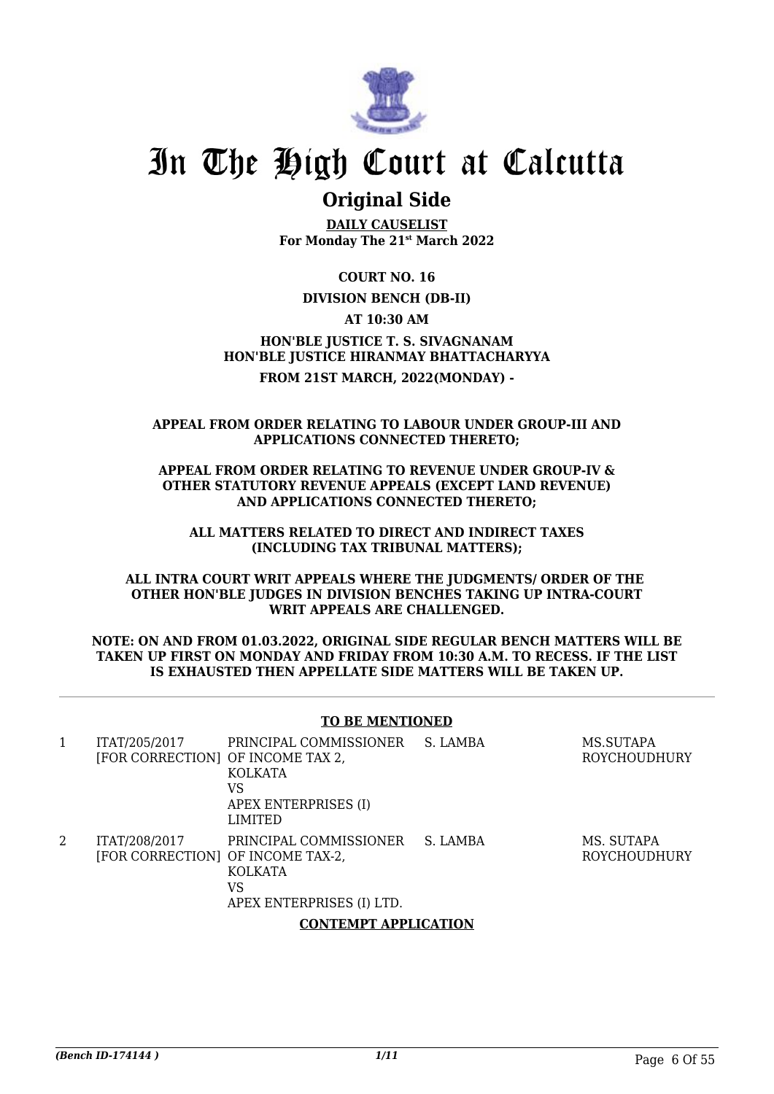

### **Original Side**

**DAILY CAUSELIST For Monday The 21st March 2022**

**COURT NO. 16**

**DIVISION BENCH (DB-II)**

**AT 10:30 AM**

**HON'BLE JUSTICE T. S. SIVAGNANAM HON'BLE JUSTICE HIRANMAY BHATTACHARYYA FROM 21ST MARCH, 2022(MONDAY) -**

#### **APPEAL FROM ORDER RELATING TO LABOUR UNDER GROUP-III AND APPLICATIONS CONNECTED THERETO;**

**APPEAL FROM ORDER RELATING TO REVENUE UNDER GROUP-IV & OTHER STATUTORY REVENUE APPEALS (EXCEPT LAND REVENUE) AND APPLICATIONS CONNECTED THERETO;**

**ALL MATTERS RELATED TO DIRECT AND INDIRECT TAXES (INCLUDING TAX TRIBUNAL MATTERS);**

**ALL INTRA COURT WRIT APPEALS WHERE THE JUDGMENTS/ ORDER OF THE OTHER HON'BLE JUDGES IN DIVISION BENCHES TAKING UP INTRA-COURT WRIT APPEALS ARE CHALLENGED.**

#### **NOTE: ON AND FROM 01.03.2022, ORIGINAL SIDE REGULAR BENCH MATTERS WILL BE TAKEN UP FIRST ON MONDAY AND FRIDAY FROM 10:30 A.M. TO RECESS. IF THE LIST IS EXHAUSTED THEN APPELLATE SIDE MATTERS WILL BE TAKEN UP.**

### **TO BE MENTIONED**

| 1 | ITAT/205/2017<br>[FOR CORRECTION] OF INCOME TAX 2, | PRINCIPAL COMMISSIONER<br>KOLKATA<br>VS<br>APEX ENTERPRISES (I)<br>LIMITED  | S. LAMBA | MS.SUTAPA<br>ROYCHOUDHURY         |  |
|---|----------------------------------------------------|-----------------------------------------------------------------------------|----------|-----------------------------------|--|
| 2 | ITAT/208/2017<br>[FOR CORRECTION] OF INCOME TAX-2, | PRINCIPAL COMMISSIONER<br><b>KOLKATA</b><br>VS<br>APEX ENTERPRISES (I) LTD. | S. LAMBA | MS. SUTAPA<br><b>ROYCHOUDHURY</b> |  |
|   | <b>CONTEMPT APPLICATION</b>                        |                                                                             |          |                                   |  |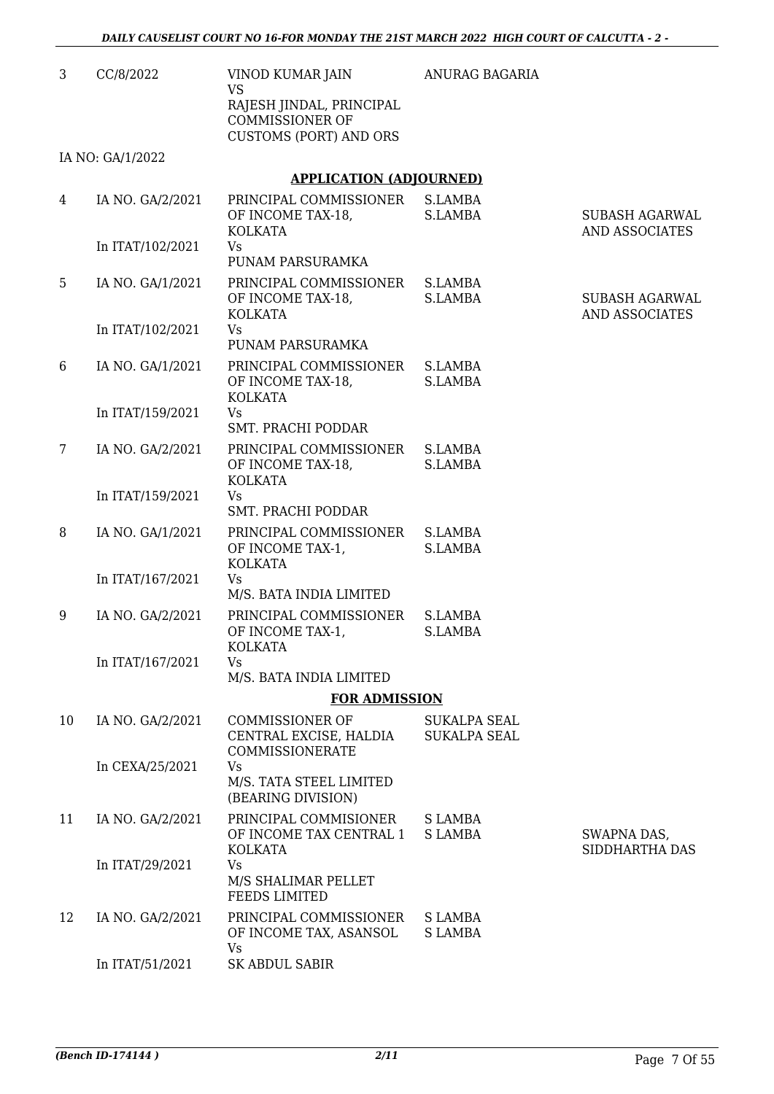ANURAG BAGARIA

| 3 | CC/8/2022 | VINOD KUMAR JAIN              |
|---|-----------|-------------------------------|
|   |           | VS                            |
|   |           | RAJESH JINDAL, PRINCIPAL      |
|   |           | COMMISSIONER OF               |
|   |           | <b>CUSTOMS (PORT) AND ORS</b> |
|   |           |                               |

IA NO: GA/1/2022

### **APPLICATION (ADJOURNED)**

| 4               | IA NO. GA/2/2021 | PRINCIPAL COMMISSIONER S.LAMBA<br>OF INCOME TAX-18,<br><b>KOLKATA</b>      | S.LAMBA                                    | <b>SUBASH AGARWAL</b><br>AND ASSOCIATES |
|-----------------|------------------|----------------------------------------------------------------------------|--------------------------------------------|-----------------------------------------|
|                 | In ITAT/102/2021 | Vs<br>PUNAM PARSURAMKA                                                     |                                            |                                         |
| 5               | IA NO. GA/1/2021 | PRINCIPAL COMMISSIONER<br>OF INCOME TAX-18,<br><b>KOLKATA</b>              | S.LAMBA<br>S.LAMBA                         | <b>SUBASH AGARWAL</b><br>AND ASSOCIATES |
|                 | In ITAT/102/2021 | Vs<br>PUNAM PARSURAMKA                                                     |                                            |                                         |
| 6               | IA NO. GA/1/2021 | PRINCIPAL COMMISSIONER S.LAMBA<br>OF INCOME TAX-18,<br><b>KOLKATA</b>      | S.LAMBA                                    |                                         |
|                 | In ITAT/159/2021 | Vs<br>SMT. PRACHI PODDAR                                                   |                                            |                                         |
| $7\phantom{.0}$ | IA NO. GA/2/2021 | PRINCIPAL COMMISSIONER S.LAMBA<br>OF INCOME TAX-18,<br><b>KOLKATA</b>      | S.LAMBA                                    |                                         |
|                 | In ITAT/159/2021 | Vs<br>SMT. PRACHI PODDAR                                                   |                                            |                                         |
| 8               | IA NO. GA/1/2021 | PRINCIPAL COMMISSIONER S.LAMBA<br>OF INCOME TAX-1,<br><b>KOLKATA</b>       | S.LAMBA                                    |                                         |
|                 | In ITAT/167/2021 | Vs<br>M/S. BATA INDIA LIMITED                                              |                                            |                                         |
| 9               | IA NO. GA/2/2021 | PRINCIPAL COMMISSIONER S.LAMBA<br>OF INCOME TAX-1,<br><b>KOLKATA</b>       | S.LAMBA                                    |                                         |
|                 | In ITAT/167/2021 | Vs<br>M/S. BATA INDIA LIMITED                                              |                                            |                                         |
|                 |                  | <b>FOR ADMISSION</b>                                                       |                                            |                                         |
| 10              | IA NO. GA/2/2021 | <b>COMMISSIONER OF</b><br>CENTRAL EXCISE, HALDIA<br><b>COMMISSIONERATE</b> | <b>SUKALPA SEAL</b><br><b>SUKALPA SEAL</b> |                                         |
|                 | In CEXA/25/2021  | Vs<br>M/S. TATA STEEL LIMITED<br>(BEARING DIVISION)                        |                                            |                                         |
| 11              | IA NO. GA/2/2021 | PRINCIPAL COMMISIONER<br>OF INCOME TAX CENTRAL 1<br><b>KOLKATA</b>         | S LAMBA<br><b>SLAMBA</b>                   | SWAPNA DAS,<br>SIDDHARTHA DAS           |
|                 | In ITAT/29/2021  | Vs<br>M/S SHALIMAR PELLET<br><b>FEEDS LIMITED</b>                          |                                            |                                         |
| 12              | IA NO. GA/2/2021 | PRINCIPAL COMMISSIONER<br>OF INCOME TAX, ASANSOL<br>Vs                     | S LAMBA<br><b>SLAMBA</b>                   |                                         |
|                 | In ITAT/51/2021  | SK ABDUL SABIR                                                             |                                            |                                         |